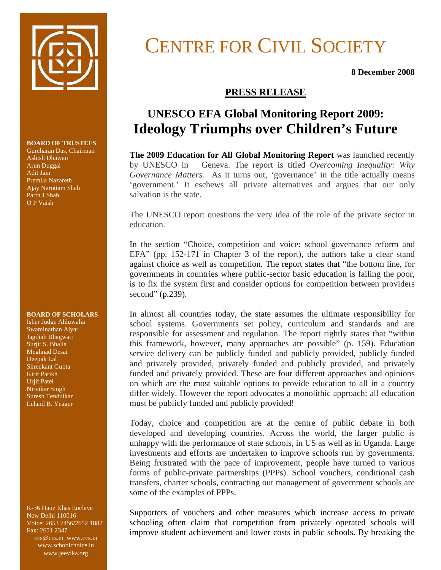

**BOARD OF TRUSTEES** 

Gurcharan Das, Chairman Ashish Dhawan Arun Duggal Adit Jain Premila Nazareth Ajay Narottam Shah Parth J Shah O P Vaish

#### **BOARD OF SCHOLARS**

Isher Judge Ahluwalia Swaminathan Aiyar Jagdiah Bhagwati Surjit S. Bhalla Meghnad Desai Deepak Lal Shreekant Gupta Kirit Parikh Uriit Patel Nirvikar Singh Suresh Tendulkar Leland B. Yeager

K-36 Hauz Khas Enclave New Delhi 110016 Voice: 2653 7456/2652 1882 Fax: 2651 2347 ccs@ccs.in www.ccs.in www.schoolchoice.in www.jeevika.org

# CENTRE FOR CIVIL SOCIETY

**8 December 2008** 

## **PRESS RELEASE**

## **UNESCO EFA Global Monitoring Report 2009: Ideology Triumphs over Children's Future**

**The 2009 Education for All Global Monitoring Report** was launched recently by UNESCO in Geneva. The report is titled *Overcoming Inequality: Why Governance Matters.* As it turns out, 'governance' in the title actually means 'government.' It eschews all private alternatives and argues that our only salvation is the state.

The UNESCO report questions the very idea of the role of the private sector in education.

In the section "Choice, competition and voice: school governance reform and EFA" (pp. 152-171 in Chapter 3 of the report), the authors take a clear stand against choice as well as competition. The report states that "the bottom line, for governments in countries where public-sector basic education is failing the poor, is to fix the system first and consider options for competition between providers second" (p.239).

In almost all countries today, the state assumes the ultimate responsibility for school systems. Governments set policy, curriculum and standards and are responsible for assessment and regulation. The report rightly states that "within this framework, however, many approaches are possible" (p. 159). Education service delivery can be publicly funded and publicly provided, publicly funded and privately provided, privately funded and publicly provided, and privately funded and privately provided. These are four different approaches and opinions on which are the most suitable options to provide education to all in a country differ widely. However the report advocates a monolithic approach: all education must be publicly funded and publicly provided!

Today, choice and competition are at the centre of public debate in both developed and developing countries. Across the world, the larger public is unhappy with the performance of state schools, in US as well as in Uganda. Large investments and efforts are undertaken to improve schools run by governments. Being frustrated with the pace of improvement, people have turned to various forms of public-private partnerships (PPPs). School vouchers, conditional cash transfers, charter schools, contracting out management of government schools are some of the examples of PPPs.

Supporters of vouchers and other measures which increase access to private schooling often claim that competition from privately operated schools will improve student achievement and lower costs in public schools. By breaking the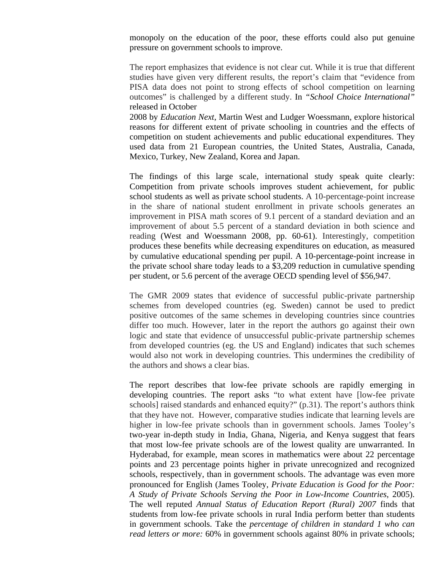monopoly on the education of the poor, these efforts could also put genuine pressure on government schools to improve.

The report emphasizes that evidence is not clear cut. While it is true that different studies have given very different results, the report's claim that "evidence from PISA data does not point to strong effects of school competition on learning outcomes" is challenged by a different study. In *"School Choice International"*  released in October

2008 by *Education Next*, Martin West and Ludger Woessmann, explore historical reasons for different extent of private schooling in countries and the effects of competition on student achievements and public educational expenditures. They used data from 21 European countries, the United States, Australia, Canada, Mexico, Turkey, New Zealand, Korea and Japan.

The findings of this large scale, international study speak quite clearly: Competition from private schools improves student achievement, for public school students as well as private school students. A 10-percentage-point increase in the share of national student enrollment in private schools generates an improvement in PISA math scores of 9.1 percent of a standard deviation and an improvement of about 5.5 percent of a standard deviation in both science and reading (West and Woessmann 2008, pp. 60-61). Interestingly, competition produces these benefits while decreasing expenditures on education, as measured by cumulative educational spending per pupil. A 10-percentage-point increase in the private school share today leads to a \$3,209 reduction in cumulative spending per student, or 5.6 percent of the average OECD spending level of \$56,947.

The GMR 2009 states that evidence of successful public-private partnership schemes from developed countries (eg. Sweden) cannot be used to predict positive outcomes of the same schemes in developing countries since countries differ too much. However, later in the report the authors go against their own logic and state that evidence of unsuccessful public-private partnership schemes from developed countries (eg. the US and England) indicates that such schemes would also not work in developing countries. This undermines the credibility of the authors and shows a clear bias.

The report describes that low-fee private schools are rapidly emerging in developing countries. The report asks "to what extent have [low-fee private schools] raised standards and enhanced equity?" (p.31). The report's authors think that they have not. However, comparative studies indicate that learning levels are higher in low-fee private schools than in government schools. James Tooley's two-year in-depth study in India, Ghana, Nigeria, and Kenya suggest that fears that most low-fee private schools are of the lowest quality are unwarranted. In Hyderabad, for example, mean scores in mathematics were about 22 percentage points and 23 percentage points higher in private unrecognized and recognized schools, respectively, than in government schools. The advantage was even more pronounced for English (James Tooley, *Private Education is Good for the Poor: A Study of Private Schools Serving the Poor in Low-Income Countries*, 2005). The well reputed *Annual Status of Education Report (Rural) 2007* finds that students from low-fee private schools in rural India perform better than students in government schools. Take the *percentage of children in standard 1 who can read letters or more:* 60% in government schools against 80% in private schools;